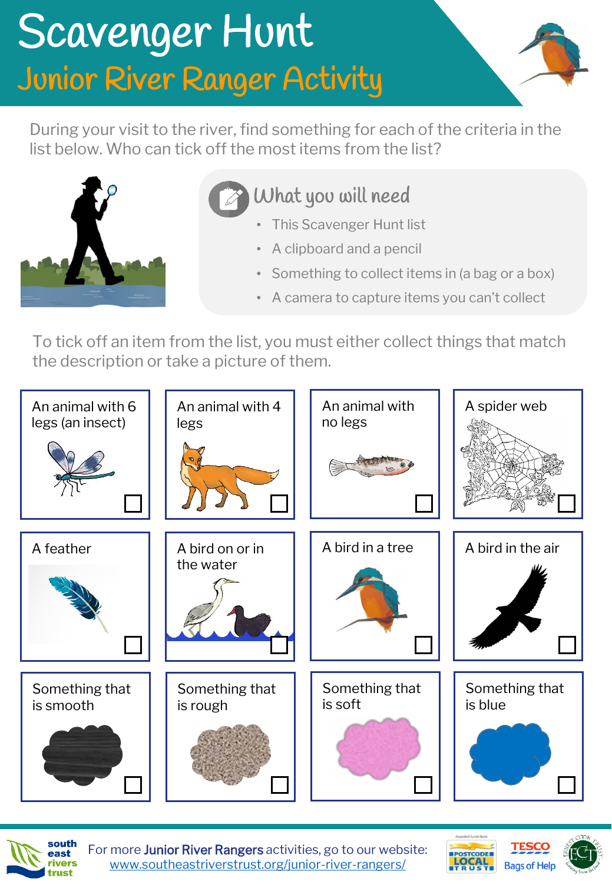## Scavenger Hunt Junior River Ranger Activity



During your visit to the river, find something for each of the criteria in the list below. Who can tick off the most items from the list?



What you will need

- This Scavenger Hunt list
- A clipboard and a pencil
- Something to collect items in (a bag or a box)
- A camera to capture items you can't collect

To tick off an item from the list, you must either collect things that match the description or take a picture of them.





For more Junior River Rangers activities, go to our website: [www.southeastriverstrust.org/junior-river-rangers/](http://www.southeastriverstrust.org/junior-river-rangers/)